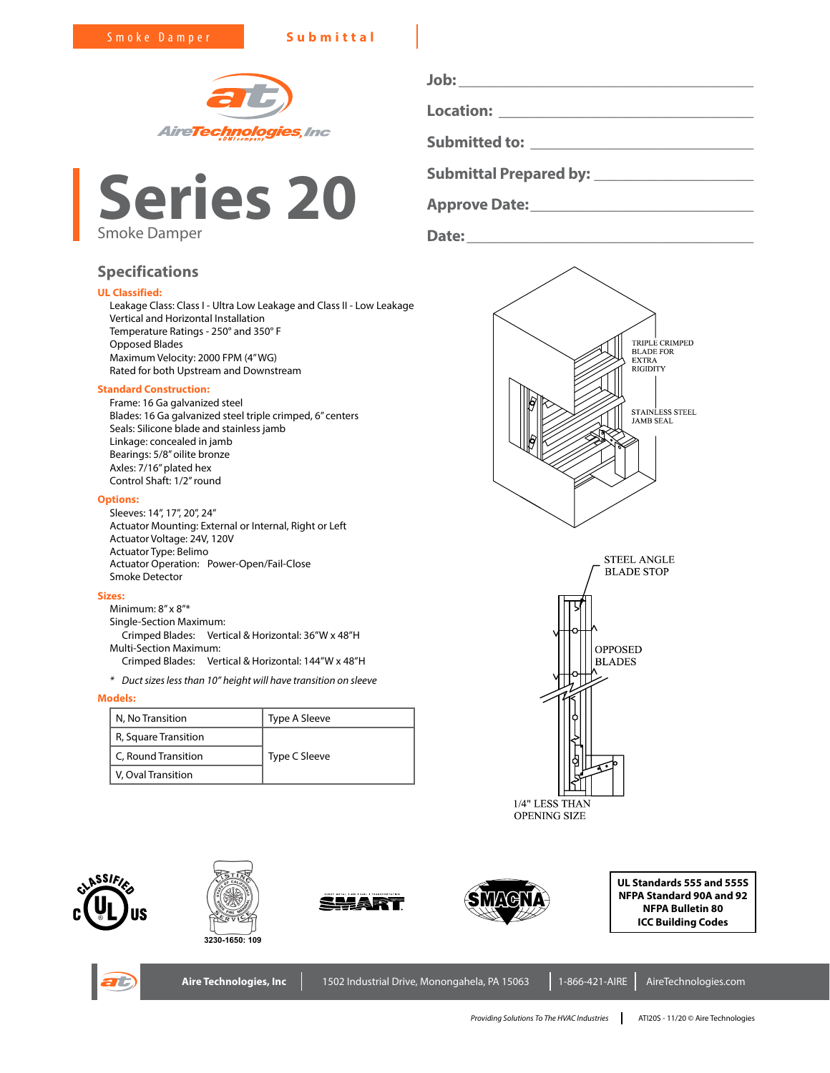



| <b>Location:</b>     |  |
|----------------------|--|
| <b>Submitted to:</b> |  |

**Job: \_\_\_\_\_\_\_\_\_\_\_\_\_\_\_\_\_\_\_\_\_\_\_\_\_\_\_\_\_\_\_\_\_\_\_\_\_**

**Submittal Prepared by: \_\_\_\_\_\_\_\_\_\_\_\_\_\_\_\_\_\_\_\_**

**Approve Date:\_\_\_\_\_\_\_\_\_\_\_\_\_\_\_\_\_\_\_\_\_\_\_\_\_\_\_\_**

**Date:\_\_\_\_\_\_\_\_\_\_\_\_\_\_\_\_\_\_\_\_\_\_\_\_\_\_\_\_\_\_\_\_\_\_\_\_**

### **Specifications**

#### **UL Classified:**

Leakage Class: Class I - Ultra Low Leakage and Class II - Low Leakage Vertical and Horizontal Installation Temperature Ratings - 250° and 350° F Opposed Blades Maximum Velocity: 2000 FPM (4" WG) Rated for both Upstream and Downstream

#### **Standard Construction:**

Frame: 16 Ga galvanized steel Blades: 16 Ga galvanized steel triple crimped, 6" centers Seals: Silicone blade and stainless jamb Linkage: concealed in jamb Bearings: 5/8" oilite bronze Axles: 7/16" plated hex Control Shaft: 1/2" round

#### **Options:**

Sleeves: 14", 17", 20", 24" Actuator Mounting: External or Internal, Right or Left Actuator Voltage: 24V, 120V Actuator Type: Belimo Actuator Operation: Power-Open/Fail-Close Smoke Detector

#### **Sizes:**

Minimum: 8" x 8"\* Single-Section Maximum: Crimped Blades: Vertical & Horizontal: 36"W x 48"H Multi-Section Maximum: Crimped Blades: Vertical & Horizontal: 144"W x 48"H

*\* Duct sizes less than 10" height will have transition on sleeve*

#### **Models:**

| N, No Transition     | Type A Sleeve |  |  |  |
|----------------------|---------------|--|--|--|
| R, Square Transition |               |  |  |  |
| C, Round Transition  | Type C Sleeve |  |  |  |
| V, Oval Transition   |               |  |  |  |

## TRIPLE CRIMPED<br>BLADE FOR **EXTRA RIGIDITY** STAINLESS STEEL **JAMB SEAL**



**OPENING SIZE** 















**Aire Technologies, Inc** | 1502 Industrial Drive, Monongahela, PA 15063 | 1-866-421-AIRE | AireTechnologies.com